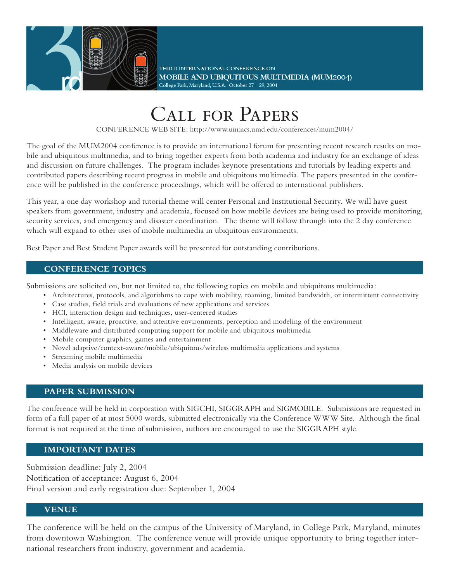

THIRD INTERNATIONAL CONFERENCE ON MOBILE AND UBIQUITOUS MULTIMEDIA (MUM2004) College Park, Maryland, U.S.A. October 27 - 29, 2004

# Call for Papers

CONFERENCE WEB SITE: http://www.umiacs.umd.edu/conferences/mum2004/

The goal of the MUM2004 conference is to provide an international forum for presenting recent research results on mobile and ubiquitous multimedia, and to bring together experts from both academia and industry for an exchange of ideas and discussion on future challenges. The program includes keynote presentations and tutorials by leading experts and contributed papers describing recent progress in mobile and ubiquitous multimedia. The papers presented in the conference will be published in the conference proceedings, which will be offered to international publishers.

This year, a one day workshop and tutorial theme will center Personal and Institutional Security. We will have guest speakers from government, industry and academia, focused on how mobile devices are being used to provide monitoring, security services, and emergency and disaster coordination. The theme will follow through into the 2 day conference which will expand to other uses of mobile multimedia in ubiquitous environments.

Best Paper and Best Student Paper awards will be presented for outstanding contributions.

#### **CONFERENCE TOPICS**

Submissions are solicited on, but not limited to, the following topics on mobile and ubiquitous multimedia:

- Architectures, protocols, and algorithms to cope with mobility, roaming, limited bandwidth, or intermittent connectivity
- Case studies, field trials and evaluations of new applications and services
- HCI, interaction design and techniques, user-centered studies
- Intelligent, aware, proactive, and attentive environments, perception and modeling of the environment
- Middleware and distributed computing support for mobile and ubiquitous multimedia
- Mobile computer graphics, games and entertainment
- Novel adaptive/context-aware/mobile/ubiquitous/wireless multimedia applications and systems
- Streaming mobile multimedia
- Media analysis on mobile devices

#### **PAPER SUBMISSION**

The conference will be held in corporation with SIGCHI, SIGGRAPH and SIGMOBILE. Submissions are requested in form of a full paper of at most 5000 words, submitted electronically via the Conference WWW Site. Although the final format is not required at the time of submission, authors are encouraged to use the SIGGRAPH style.

### **IMPORTANT DATES**

Submission deadline: July 2, 2004 Notification of acceptance: August 6, 2004 Final version and early registration due: September 1, 2004

#### **VENUE**

j

The conference will be held on the campus of the University of Maryland, in College Park, Maryland, minutes from downtown Washington. The conference venue will provide unique opportunity to bring together international researchers from industry, government and academia.